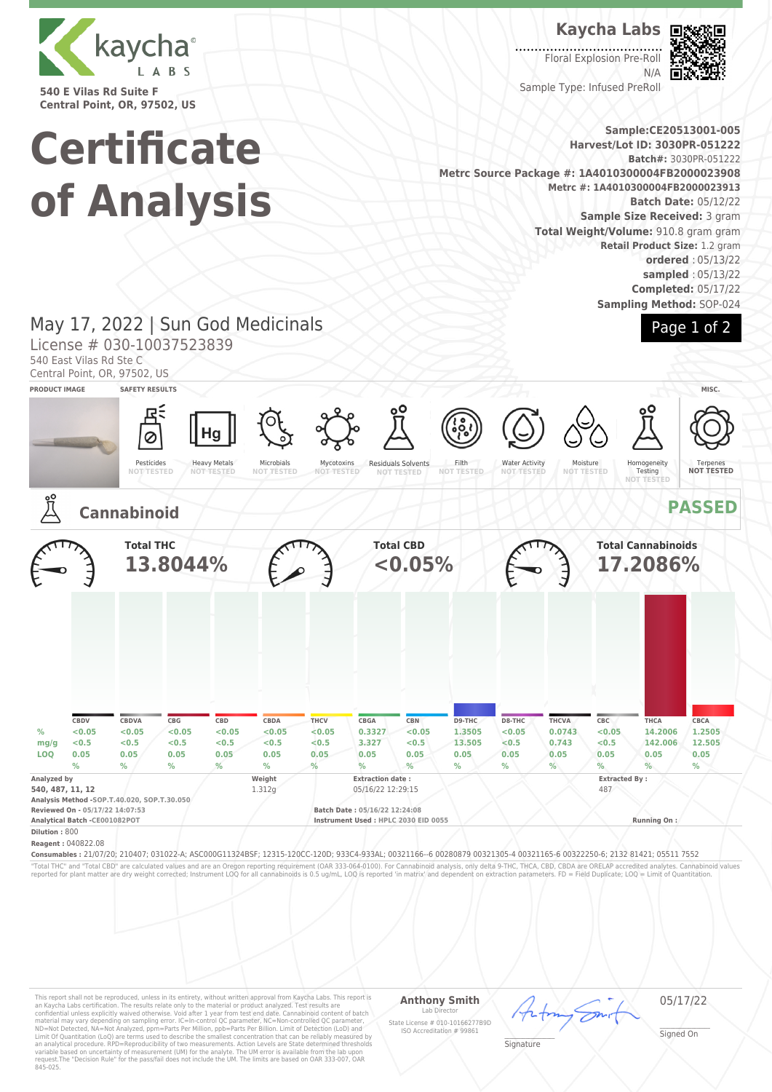

**540 E Vilas Rd Suite F Central Point, OR, 97502, US**

# **Certificate of Analysis**

**Kaycha Labs**

 $\overline{\phantom{a}}$ Floral Explosion Pre-Roll N/A Sample Type: Infused PreRoll



**Sample:CE20513001-005 Harvest/Lot ID: 3030PR-051222 Batch#:** 3030PR-051222 **Metrc Source Package #: 1A4010300004FB2000023908 Metrc #: 1A4010300004FB2000023913 Batch Date:** 05/12/22 **Sample Size Received:** 3 gram **Total Weight/Volume:** 910.8 gram gram **Retail Product Size:** 1.2 gram **ordered** : 05/13/22 **sampled** : 05/13/22 **Completed:** 05/17/22 **Sampling Method:** SOP-024

## Page 1 of 2

## May 17, 2022 | Sun God Medicinals

License # 030-10037523839

540 East Vilas Rd Ste C

Central Point, OR, 97502, US





This report shall not be reproduced, unless in its entirety, without written approval from Kaycha Labs. This report is<br>an Kaycha Labs certification. The results relate only to the material or product analyzed. Test result

### **Anthony Smith**

Lab Director State License # 010-10166277B9D ISO Accreditation # 99861

05/17/22

\_\_\_\_\_\_\_\_\_\_\_\_\_\_\_\_\_\_\_ Signature

\_\_\_\_\_\_\_\_\_\_\_\_\_\_\_\_\_\_\_ Signed On